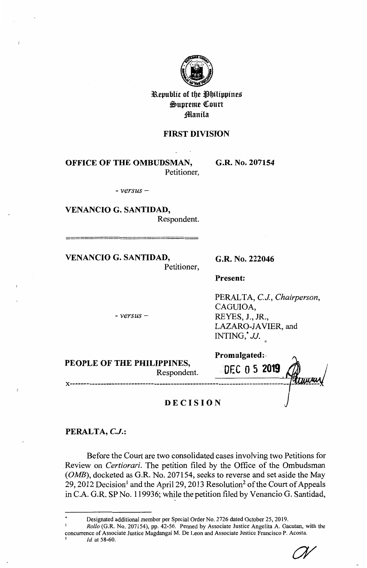

**l\.epublic of tbe ~bilippineg**   $\mathfrak{S}$ upreme Court **;ffianila** 

# **FIRST DIVISION**

**OFFICE OF THE OMBUDSMAN,**  Petitioner, **G.R. No. 207154** 

- *versus* -

**VENANCIO G. SANTIDAD,**  Respondent.

**VENANCIO G. SANTIDAD,** 

Petitioner,

**G.R. No. 222046** 

**Present:** 

PERALTA, C. J., *Chairperson,*  CAGUIOA, REYES, J., JR., LAZARO-JAVIER, and INTING,  $JJ$ .

| PEOPLE OF THE PHILIPPINES, | <b>Promulgated:</b> |
|----------------------------|---------------------|
| Respondent.                | <b>OEC 0 5 2019</b> |
| <b>DECISION</b>            |                     |

# **PERALTA,** *C.J.:*

Before the Court are two consolidated cases involving two Petitions for Review on *Certiorari.* The petition filed by the Office of the Ombudsman (OMB), docketed as G.R. No. 207154, seeks to reverse and set aside the May 29, 2012 Decision<sup>1</sup> and the April 29, 2013 Resolution<sup>2</sup> of the Court of Appeals in C.A. G.R. SP No. 119936; while the petition filed by Venancio G. Santidad,

Designated additional member per Special Order No. 2726 dated October 25, 2019.

 ${\mathscr{A}}$ 

- *versus* -

*Rollo* (G.R. No. 207154), pp. 42-56. Penned by Associate Justice Angelita A. Gacutan, with the concurrence of Associate Justice Magdangal M. De Leon and Associate Justice Francisco P. Acosta. <sup>2</sup>*Id.* at 58-60.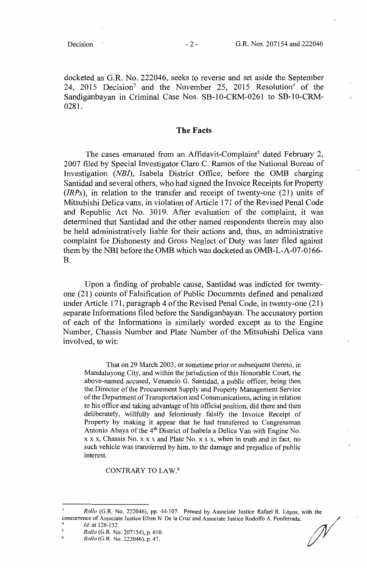docketed as G.R. No. 222046, seeks to reverse and set aside the September 24, 2015 Decision<sup>3</sup> and the November 25, 2015 Resolution<sup>4</sup> of the Sandiganbayan in Criminal Case Nos. SB-10-CRM-0261 to SB-10-CRM-0281.

## **The Facts**

The cases emanated from an Affidavit-Complaint<sup>5</sup> dated February 2, 2007 filed by Special Investigator Claro C. Ramos of the National Bureau of Investigation *(NBI),* Isabela District Office, before the 0MB charging Santidad and several others, who had signed the Invoice Receipts for Property *(IRPs)*, in relation to the transfer and receipt of twenty-one (21) units of Mitsubishi Delica vans, in violation of Article 171 of the Revised Penal Code and Republic Act No. 3019. After evaluation of the complaint, it was determined that Santidad and the other named respondents therein may also be held administratively liable for their actions and, thus, an administrative complaint for Dishonesty and Gross Neglect of Duty was later filed against them by the NBI before the 0MB which was docketed as OMB-L-A-07-0166- B.

Upon a finding of probable cause, Santidad was indicted for twentyone (21) counts of Falsification of Public Documents defined and penalized under Article 171, paragraph 4 of the Revised Penal Code, in twenty-one (21) separate Informations filed before the Sandiganbayan. The accusatory portion of each of the Informations is similarly worded except as to the Engine Number, Chassis Number and Plate Number of the Mitsubishi Delica vans involved, to wit:

That on 29 March 2003, or sometime prior or subsequent thereto, in Mandaluyong City, and within the jurisdiction of this Honorable Court, the above-named accused, Venancio G. Santidad, a public officer, being then the Director of the Procurement Supply and Property Management Service of the Department of Transportation and Communications, acting in relation to his office and taking advantage of his official position, did there and then deliberately, willfully and feloniously falsify the Invoice Receipt of Property by making it appear that he had transferred to Congressman Antonio Abaya of the  $4<sup>th</sup>$  District of Isabela a Delica Van with Engine No. xx x, Chassis No.xx x and Plate No.xx x, when in truth and in fact, no such vehicle was transferred by him, to the damage and prejudice of public interest.

CONTRARY TO LAW. <sup>6</sup>

*Rollo* (G.R. No. 222046), pp. 44-107. Penned by Associate Justice Rafael R. Lagos, with the concurrence of Associate Justice Efren N. De la Cruz and Associate Justice Rodolfo A. Ponferrada. <sup>4</sup>*Id.* at 128-132.

<sup>5</sup> *Rollo* (G.R. No. 207154), p. 610.

<sup>6</sup>*Rollo* (G.R. No. 222046), p. 47.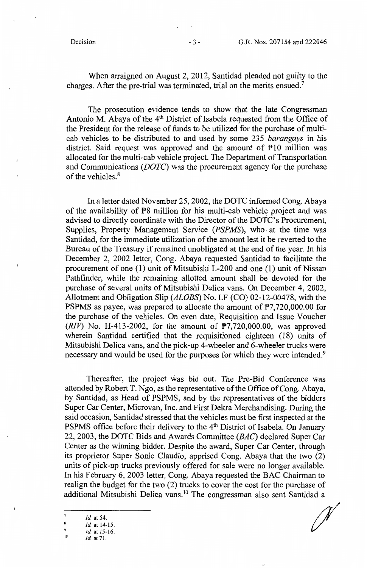When arraigned on August 2, 2012, Santidad pleaded not guilty to the charges. After the pre-trial was terminated, trial on the merits ensued.<sup>7</sup>

The prosecution evidence tends to show that the late Congressman Antonio M. Abaya of the  $4<sup>th</sup>$  District of Isabela requested from the Office of the President for the release of funds to be utilized for the purchase of multicab vehicles to be distributed to and used by some 235 *barangays* in his district. Said request was approved and the amount of PIO million was allocated for the multi-cab vehicle project. The Department of Transportation and Communications *(DOTC)* was the procurement agency for the purchase of the vehicles.<sup>8</sup>

In a letter dated November 25, 2002, the DOTC informed Cong. Abaya of the availability of P8 million for his multi-cab vehicle project and was advised to directly coordinate with the Director of the DOTC's Procurement, Supplies, Property Management Service *(PSPMS),* who. at the time was Santidad, for the immediate utilization of the amount lest it be reverted to the Bureau of the Treasury if remained unobligated at the end of the year. In his December 2, 2002 letter, Cong. Abaya requested Santidad to facilitate the procurement of one (1) unit of Mitsubishi L-200 and one (1) unit of Nissan Pathfinder, while the remaining allotted amount shall be devoted for the purchase of several units of Mitsubishi Delica vans. On December 4, 2002, Allotment and Obligation Slip *(ALOES)* No. LF (CO) 02-12-00478, with the PSPMS as payee, was prepared to allocate the amount of  $\overline{P7,720,000.00}$  for the purchase of the vehicles. On even date, Requisition and Issue Voucher  $(RIV)$  No. H-413-2002, for the amount of  $\overline{P7,720,000.00}$ , was approved wherein Santidad certified that the requisitioned eighteen (18) units of Mitsubishi Delica vans, and the pick-up 4-wheeler and 6-wheeler trucks were necessary and would be used for the purposes for which they were intended.<sup>9</sup>

Thereafter, the project was bid out. The Pre-Bid Conference was attended by Robert T. Ngo, as the representative of the Office of Cong. Abaya, by Santidad, as Head of PSPMS, and by the representatives of the bidders Super Car Center, Microvan, Inc. and First Dekra Merchandising. During the said occasion, Santidad stressed that the vehicles must be first inspected at the PSPMS office before their delivery to the 4<sup>th</sup> District of Isabela. On January 22, 2003, the DOTC Bids and Awards Committee *(BAC)* declared Super Car Center as the winning bidder. Despite the award, Super Car Center, through its proprietor Super Sonic Claudio, apprised Cong. Abaya that the two (2) units of pick-up trucks previously offered for sale were no longer available. In his February 6, 2003 letter, Cong. Abaya requested the BAC Chairman to realign the budget for the two (2) trucks to cover the cost for the purchase of additional Mitsubishi Delica vans.<sup>10</sup> The congressman also sent Santidad a

<sup>~</sup>

i)

<sup>7</sup>  8 *Id.* at 54.

<sup>9</sup>  *Id.* at 14-15.

<sup>10</sup>  *Id.* at 15-16.

*Id* at 71.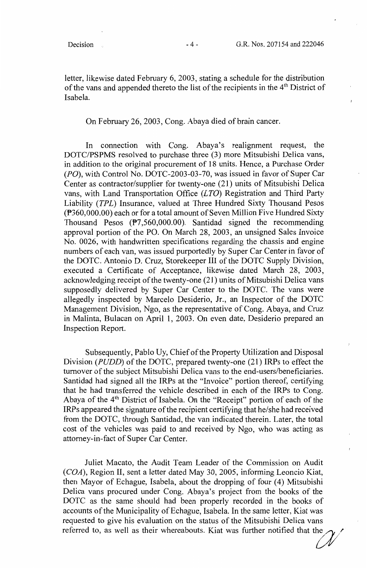letter, likewise dated February 6, 2003, stating a schedule for the distribution of the vans and appended thereto the list of the recipients in the 4<sup>th</sup> District of Isabela.

On February 26, 2003, Cong. Abaya died of brain cancer.

In connection with Cong. Abaya's realignment request, the DOTC/PSPMS resolved to purchase three (3) more Mitsubishi Delica vans, in addition to the original procurement of 18 units. Hence, a Purchase Order (PO), with Control No. DOTC-2003-03-70, was issued in favor of Super Car Center as contractor/supplier for twenty-one (21) units of Mitsubishi Delica vans, with Land Transportation Office  $(LTO)$  Registration and Third Party Liability (TPL) Insurance, valued at Three Hundred Sixty Thousand Pesos  $(\overline{P}360,000.00)$  each or for a total amount of Seven Million Five Hundred Sixty Thousand Pesos  $(\overline{P7}, 560, 000.00)$ . Santidad signed the recommending approval portion of the PO. On March 28, 2003, an unsigned Sales Invoice No. 0026, with handwritten specifications regarding the chassis and engine numbers of each van, was issued purportedly by Super Car Center in favor of the DOTC. Antonio D. Cruz, Storekeeper III of the DOTC Supply Division, executed a Certificate of Acceptance, likewise dated March 28, 2003, acknowledging receipt of the twenty-one (21) units of Mitsubishi Delica vans supposedly delivered by Super Car Center to the DOTC. The vans were allegedly inspected by Marcelo Desiderio, Jr., an Inspector of the DOTC Management Division, Ngo, as the representative of Cong. Abaya, and Cruz in Malinta, Bulacan on April 1, 2003. On even date, Desiderio prepared an Inspection Report.

Subsequently, Pablo Uy, Chief of the Property Utilization and Disposal Division (PUDD) of the DOTC, prepared twenty-one (21) IRPs to effect the turnover of the subject Mitsubishi Delica vans to the end-users/beneficiaries. Santidad had signed all the IRPs at the "Invoice" portion thereof, certifying that he had transferred the vehicle described in each of the IRPs to Cong. Abaya of the 4<sup>th</sup> District of Isabela. On the "Receipt" portion of each of the IRPs appeared the signature of the recipient certifying that he/she had received from the DOTC, through Santidad, the van indicated therein. Later, the total cost of the vehicles was paid to and received by Ngo, who was acting as attorney-in-fact of Super Car Center.

Juliet Macato, the Audit Team Leader of the Commission on Audit (COA), Region II, sent a letter dated May 30, 2005, informing Leoncio Kiat, then Mayor of Echague, Isabela, about the dropping of four (4) Mitsubishi Delica vans procured under Cong. Abaya's project from the books of the DOTC as the same should had been properly recorded in the books of accounts of the Municipality of Echague, Isabela. In the same letter, Kiat was requested to give his evaluation on the status of the Mitsubishi Delica vans referred to, as well as their whereabouts. Kiat was further notified that the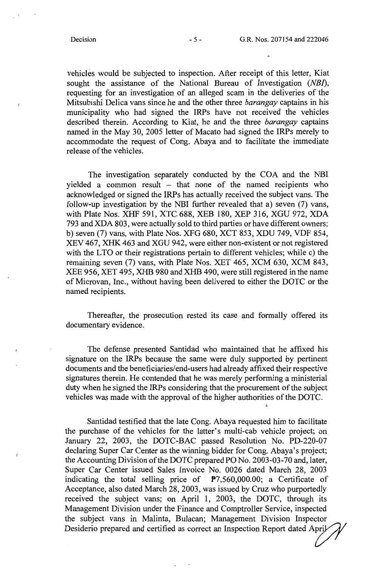.,

"

vehicles would be subjected to inspection. After receipt of this letter, Kiat sought the assistance of the National Bureau of Investigation (NBI), requesting for an investigation of an alleged scam in the deliveries of the Mitsubishi Delica vans since he and the other three *barangay* captains in his municipality who had signed the IRPs have not received the vehicles described therein. According to Kiat, he and the three *barangay* captains named in the May 30, 2005 letter of Macato had signed the IRPs merely to accommodate the request of Cong. Abaya and to facilitate the immediate release of the vehicles.

The investigation separately conducted by the COA and the NBI yielded a common result  $-$  that none of the named recipients who acknowledged or signed the IRPs has actually received the subject vans. The follow-up investigation by the NBI further revealed that a) seven (7) vans, with Plate Nos. XHF 591, XTC 688, XEB 180, XEP 316, XGU 972, XDA 793 and XDA 803, were actually sold to third parties or have different owners; b) seven (7) vans, with Plate Nos. XFG 680, XCT 853, XDU 749, VDF 854, XEV 467, XHK 463 and XGU 942, were either non-existent or not registered with the LTO or their registrations pertain to different vehicles; while c) the remaining seven (7) vans, with Plate Nos. XET 465, XCM 630, XCM 843, XEE 956, XET 495, XHB 980 and XHB 490, were still registered in the name of Microvan, Inc., without having been delivered to either the DOTC or the named recipients.

Thereafter, the prosecution rested its case and formally offered its documentary evidence.

The defense presented Santidad who maintained that he affixed his signature on the IRPs because the same were duly supported by pertinent documents and the beneficiaries/end-users had already affixed their respective signatures therein. He contended that he was merely performing a ministerial duty when he signed the IRPs considering that the procurement of the subject vehicles was made with the approval of the higher authorities of the DOTC.

Santidad testified that the late Cong. Abaya requested him to facilitate the purchase of the vehicles for the latter's multi-cab vehicle project; on January 22, 2003, the DOTC-BAC passed Resolution No. PD-220-07 declaring Super Car Center as the winning bidder for Cong. Abaya's project; the Accounting Division of the DOTC prepared PO No. 2003-03-70 and, later, Super Car Center issued Sales Invoice No. 0026 dated March 28, 2003 indicating the total selling price of P7,560,000.00; a Certificate of Acceptance, also dated March 28, 2003, was issued by Cruz who purportedly received the subject vans; on April 1, 2003, the DOTC, through its Management Division under the Finance and Comptroller Service, inspected the subject vans in Malinta, Bulacan; Management Division Inspector Desiderio prepared and certified as correct an Inspection Report dated April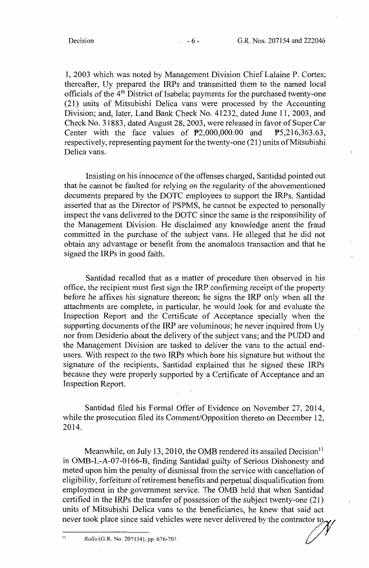1, 2003 which was noted by Management Division Chief Lalaine P. Cortes; thereafter, Uy prepared the IRPs and transmitted them to the named local officials of the 4th District of Isabela; payments for the purchased twenty-one  $(21)$  units of Mitsubishi Delica vans were processed by the Accounting Division; and, later, Land Bank Check No. 41232, dated June 11, 2003, and Check No. 31883, dated August 28, 2003, were released in favor of Super Car Center with the face values of  $P2,000,000.00$  and  $P5,216,363.63$ , respectively, representing payment for the twenty-one (21) units of Mitsubishi Delica vans.

Insisting on his innocence of the offenses charged, Santidad pointed out that he cannot be faulted for relying on the regularity of the abovementioned documents prepared by the DOTC employees to support the IRPs. Santidad asserted that as the Director of PSPMS, he cannot be expected to personally inspect the vans delivered to the DOTC since the same is the responsibility of the Management Division. He disclaimed any knowledge anent the fraud committed in the purchase of the subject vans. He alleged that he did not obtain any advantage or benefit from the anomalous transaction and that he signed the IRPs in good faith.

Santidad recalled that as a matter of procedure then observed in his office, the recipient must first sign the IRP confirming receipt of the property before he affixes his signature thereon; he signs the IRP only when all the attachments are complete, in particular, he would look for and evaluate the Inspection Report and the Certificate of Acceptance specially when the supporting documents of the IRP are voluminous; he never inquired from Uy nor from Desiderio about the delivery of the subject vans; and the PUDD and the Management Division are tasked to deliver the vans to the actual endusers. With respect to the two IRPs which bore his signature but without the signature of the recipients, Santidad explained that he signed these IRPs because they were properly supported by a Certificate of Acceptance and an Inspection Report.

Santidad filed his Formal Offer of Evidence on November 27, 2014, while the prosecution filed its Comment/Opposition thereto on December 12, 2014.

Meanwhile, on July 13, 2010, the OMB rendered its assailed Decision<sup>11</sup> in OMB-L-A-07-0166-B, finding Santidad guilty of Serious Dishonesty and meted upon him the penalty of dismissal from the service with cancellation of eligibility, forfeiture of retirement benefits and perpetual disqualification from employment in the government service. The 0MB held that when Santidad certified in the IRPs the transfer of possession of the subject twenty-one (21) units of Mitsubishi Delica vans to the beneficiaries, he knew that said act never took place since said vehicles were never delivered by the contractor to  $\gamma$ 

11 *Rollo* (G.R. No. 207154), pp. 676-701.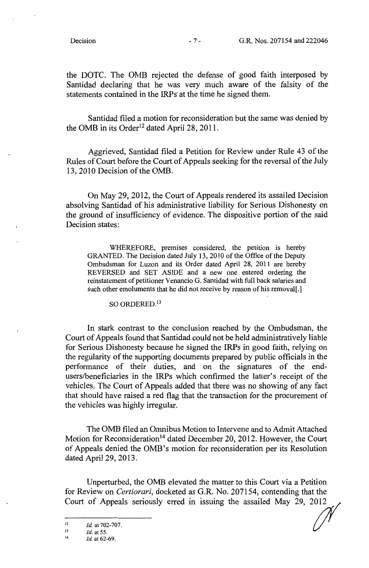the DOTC. The 0MB rejected the defense of good faith interposed by Santidad declaring that he was very much aware of the falsity of the statements contained in the IRPs at the time he signed them.

Santidad filed a motion for reconsideration but the same was denied by the OMB in its Order<sup>12</sup> dated April 28, 2011.

Aggrieved, Santidad filed a Petition for Review under Rule 43 of the Rules of Court before the Court of Appeals seeking for the reversal of the July 13, 2010 Decision of the 0MB.

On May 29, 2012, the Court of Appeals rendered its assailed Decision absolving Santidad of his administrative liability for Serious Dishonesty on the ground of insufficiency of evidence. The dispositive portion of the said Decision states:

WHEREFORE, premises considered, the petition is hereby GRANTED. The Decision dated July 13, 2010 of the Office of the Deputy Ombudsman for Luzon and its Order dated April 28, 2011 are hereby REVERSED and SET ASIDE and a new one entered ordering the reinstatement of petitioner Venancio G. Santidad with full back salaries and such other emoluments that he did not receive by reason of his removal[.]

SO ORDERED.<sup>13</sup>

In stark contrast to the conclusion reached by the Ombudsman, the Court of Appeals found that Santidad could not be held administratively liable for Serious Dishonesty because he signed the IRPs in good faith, relying on the regularity of the supporting documents prepared by public officials in the performance of their duties, and on the signatures of the endusers/beneficiaries in the IRPs which confirmed the latter's receipt of the vehicles. The Court of Appeals added that there was no showing of any fact that should have raised a red flag that the transaction for the procurement of the vehicles was highly irregular.

The 0MB filed an Omnibus Motion to Intervene and to Admit Attached Motion for Reconsideration<sup>14</sup> dated December 20, 2012. However, the Court of Appeals denied the OMB's motion for reconsideration per its Resolution dated April 29, 2013.

Unperturbed, the 0MB elevated the matter to this Court via a Petition for Review on *Certiorari,* docketed as G.R. No. 207154, contending that the Court of Appeals seriously erred in issuing the assailed May 29, 2012

<sup>12</sup>*Id.* at702-707. 13 *Id.* at 55.

<sup>14</sup>*Id.* at 62-69.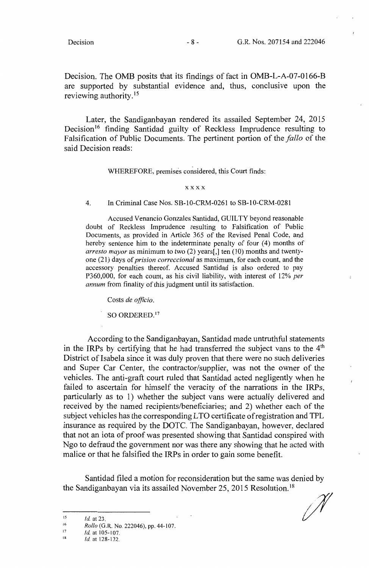Decision. The 0MB posits that its findings of fact in OMB-L-A-07-0166-B are supported by substantial evidence and, thus, conclusive upon the reviewing authority.<sup>15</sup>

Later, the Sandiganbayan rendered its assailed September 24, 2015 Decision<sup>16</sup> finding Santidad guilty of Reckless Imprudence resulting to Falsification of Public Documents. The pertinent portion of the *fallo* of the said Decision reads:

WHEREFORE, premises considered, this Court finds:

#### **xxxx**

4. In Criminal Case Nos. SB-10-CRM-0261 to SB-10-CRM-0281

Accused Venancio Gonzales Santidad, GUILTY beyond reasonable doubt of Reckless Imprudence resulting to Falsification of Public Documents, as provided in Article 365 of the Revised Penal Code, and hereby sentence him to the indeterminate penalty of four (4) months of *arresto mayor* as minimum to two (2) years[,] ten ( 10) months and twentyone (21) days of *prision correccional* as maximum, for each count, and the accessory penalties thereof. Accused Santidad is also ordered to pay P360,000, for each count, as his civil liability, with interest of 12% *per annum* from finality of this judgment until its satisfaction.

Costs *de officio.* 

SO ORDERED.<sup>17</sup>

According to the Sandiganbayan, Santidad made untruthful statements in the IRPs by certifying that he had transferred the subject vans to the  $4<sup>th</sup>$ District of Isabela since it was duly proven that there were no such deliveries and Super Car Center, the contractor/supplier, was not the owner of the vehicles. The anti-graft court ruled that Santidad acted negligently when he failed to ascertain for himself the veracity of the narrations in the IRPs, particularly as to 1) whether the subject vans were actually delivered and received by the named recipients/beneficiaries; and 2) whether each of the subject vehicles has the corresponding LTO certificate of registration and TPL insurance as required by the DOTC. The Sandiganbayan, however, declared that not an iota of proof was presented showing that Santidad conspired with Ngo to defraud the government nor was there any showing that he acted with malice or that he falsified the IRPs in order to gain some benefit.

Santidad filed a motion for reconsideration but the same was denied by the Sandiganbayan via its assailed November 25, 2015 Resolution.<sup>18</sup>

~

<sup>15</sup>  *Id.* at 23.

<sup>16</sup>  *Rollo* (G.R. No. 222046), pp. 44-107.

<sup>17</sup>  18 *Id.* at 105-107.

*Id.* at 128-132.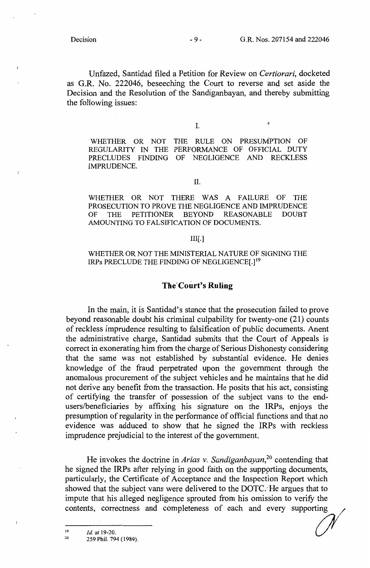Unfazed, Santidad filed a Petition for Review on *Certiorari,* docketed as G.R. No. 222046, beseeching the Court to reverse and set aside the Decision and the Resolution of the Sandiganbayan, and thereby submitting the following issues:

I.

WHETHER OR NOT THE RULE ON PRESUMPTION OF REGULARITY IN THE PERFORMANCE OF OFFICIAL DUTY PRECLUDES FINDING OF NEGLIGENCE AND RECKLESS IMPRUDENCE.

#### II.

WHETHER OR NOT THERE WAS A FAILURE OF THE PROSECUTION TO PROVE THE NEGLIGENCE AND IMPRUDENCE OF THE PETITIONER BEYOND REASONABLE DOUBT AMOUNTING TO FALSIFICATION OF DOCUMENTS.

#### III[.]

## WHETHER OR NOT THE MINISTERIAL NATURE OF SIGNING THE IRPs PRECLUDE THE FINDING OF NEGLIGENCE[.]<sup>19</sup>

# **The·court's Ruling**

In the main, it is Santidad's stance that the prosecution failed to prove beyond reasonable doubt his criminal culpability for twenty-one (21) counts of reckless imprudence resulting to falsification of public documents. Anent the administrative charge, Santidad submits that the Court of Appeals is correct in exonerating him from the charge of Serious Dishonesty considering that the same was not established by substantial evidence. He denies knowledge of the fraud perpetrated upon the government through the anomalous procurement of the subject vehicles and he maintains that he did not derive any benefit from the transaction. He posits that his act, consisting of certifying the transfer of possession of the subject vans to the endusers/beneficiaries by affixing his signature on the IRPs, enjoys the presumption of regularity in the performance of official functions and that no evidence was adduced to show that he signed the IRPs with reckless imprudence prejudicial to the interest of the government.

He invokes the doctrine in *Arias v. Sandiganbayan,* 20 contending that he signed the IRPs after relying in good faith on the suppprting documents, particularly, the Certificate of Acceptance and the Inspection Report which showed that the subject vans were delivered to the DOTC: He argues that to impute that his alleged negligence sprouted from his omission to verify the contents, correctness and completeness of each and every supporting /

 $\frac{19}{20}$  *Id.* at 19-20.<br>
<sup>20</sup> 259 Phil. 794 (1989).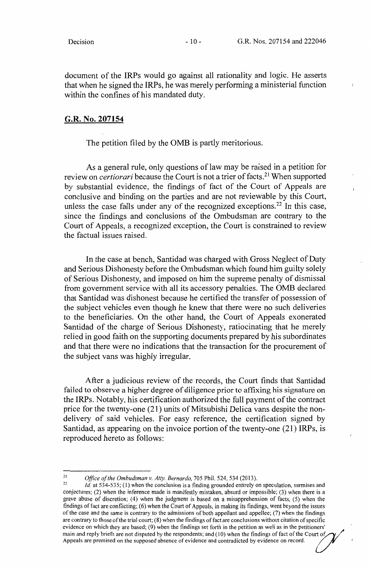document of the IRPs would go against all rationality and logic. He asserts that when he signed the IRPs, he was merely performing a ministerial function within the confines of his mandated duty.

# **G.R. No. 207154**

The petition filed by the 0MB is partly meritorious.

As a general rule, only questions of law may be raised in a petition for review on *certiorari* because the Court is not a trier of facts.<sup>21</sup> When supported by substantial evidence, the findings of fact of the Court of Appeals are conclusive and binding on the parties and are not reviewable by this Court, unless the case falls under any of the recognized exceptions.<sup>22</sup> In this case, since the findings and conclusions of the Ombudsman are contrary to the Court of Appeals, a recognized exception, the Court is constrained to review the factual issues raised.

In the case at bench, Santidad was charged with Gross Neglect of Duty and Serious Dishonesty before the Ombudsman which found him guilty solely of Serious Dishonesty, and imposed on him the supreme penalty of dismissal from government service with all its accessory penalties. The 0MB declared that Santidad was dishonest because he certified the transfer of possession of the subject vehicles even though he knew that there were no such deliveries to the beneficiaries. On the other hand, the Court of Appeals exonerated Santidad of the charge of Serious Dishonesty, ratiocinating that he merely relied in good faith on the supporting documents prepared by his subordinates and that there were no indications that the transaction for the procurement of the subject vans was highly irregular.

After a judicious review of the records, the Court finds that Santidad failed to observe a higher degree of diligence prior to affixing his signature on the IRPs. Notably, his certification authorized the full payment of the contract price for the twenty-one (21) units of Mitsubishi Delica vans despite the nondelivery of said vehicles. For easy reference, the certification signed by Santidad, as appearing on the invoice portion of the twenty-one  $(21)$  IRPs, is reproduced hereto as follows:

<sup>&</sup>lt;sup>21</sup> *Office of the Ombudsman v. Atty. Bernardo*, 705 Phil. 524, 534 (2013).<br><sup>22</sup> *Id.* at 534-535; (1) when the conclusion is a finding grounded entirely on speculation, surmises and conjectures; (2) when the inference made is manifestly mistaken, absurd or impossible; (3) when there is a grave abuse of discretion; (4) when the judgment is based on a misapprehension of facts; (5) when the findings of fact are conflicting; (6) when the Court of Appeals, in making its findings, went beyond the issues of the case and the same is contrary to the admissions of both appellant and appellee; (7) when the findings are contrary to those of the trial court; (8) when the findings of fact are conclusions without citation of specific evidence on which they are based; (9) when the findings set forth in the petition as well as in the petitioners' main and reply briefs are not disputed by the respondents; and (10) when the findings of fact of the Court of Appeals are premised on the supposed absence of evidence and contradicted by evidence on record.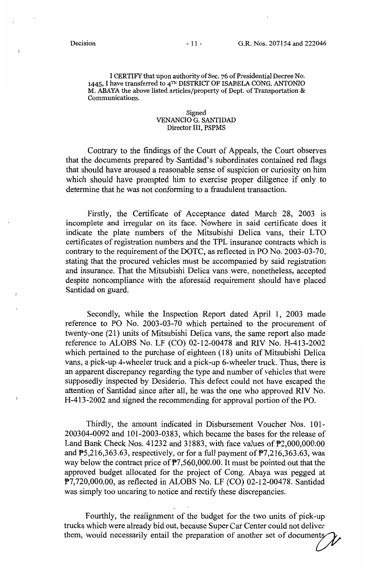ŧ

I CERTIFY that upon authority of Sec. 76 of Presidential Decree No. 1445, I have transferred to 4TH DISTRICT OF ISABELA CONG. ANTONIO **M. ABAYA** the above listed articles/property of Dept. of Transportation & Communications.

#### Signed VENANCIO G. SANTIDAD Director III, PSPMS

Contrary to the findings of the Court of Appeals, the Court observes that the documents prepared by-Santidad's subordinates contained red flags that should have aroused a reasonable sense of suspicion or curiosity on him which should have prompted him to exercise proper diligence if only to determine that he was not conforming to a fraudulent transaction.

Firstly, the Certificate of Acceptance dated March 28, 2003 is incomplete and irregular on its face. Nowhere in said certificate does it indicate the plate numbers of the Mitsubishi Delica vans, their LTO certificates of registration numbers and the TPL insurance contracts which is contrary to the requirement of the DOTC, as reflected in PO No. 2003-03-70, stating that the procured vehicles must be accompanied by said registration and insurance. That the Mitsubishi Delica vans were, nonetheless, accepted despite noncompliance with the aforesaid requirement should have placed Santidad on guard.

Secondly, while the Inspection Report dated April 1, 2003 made reference to PO No. 2003-03-70 which pertained to the procurement of twenty-one (21) units of Mitsubishi Delica vans, the same report also made reference to ALOBS No. LF (CO) 02-12-00478 and RIV No. H-413-2002 which pertained to the purchase of eighteen (18) units of Mitsubishi Delica vans, a pick-up 4-wheeler truck and a pick-up 6-wheeler truck. Thus, there is an apparent discrepancy regarding the type and number of vehicles that were supposedly inspected by Desiderio. This defect could not have escaped the attention of Santidad since after all, he was the one who approved RIV No. H-413-2002 and signed the recommending for approval portion of the PO.

Thirdly, the amount indicated in Disbursement Voucher Nos. 101- 200304-0092 and 101-2003-0383, which became the bases for the release of Land Bank Check Nos. 41232 and 31883, with face values of P2,000,000.00 and  $\mathbb{P}5,216,363.63$ , respectively, or for a full payment of  $\mathbb{P}7,216,363.63$ , was way below the contract price of  $\mathbb{P}7,560,000.00$ . It must be pointed out that the approved budget allocated for the project of Cong. Abaya was pegged at P7,720,000.00, as reflected in ALOBS No. LF (CO) 02-12-00478. Santidad was simply too uncaring to notice and rectify these discrepancies.

Fourthly, the realignment of the budget for the two units of pick-up trucks which were already bid out, because Super Car Center could not deliver them, would necessarily entail the preparation of another set of documents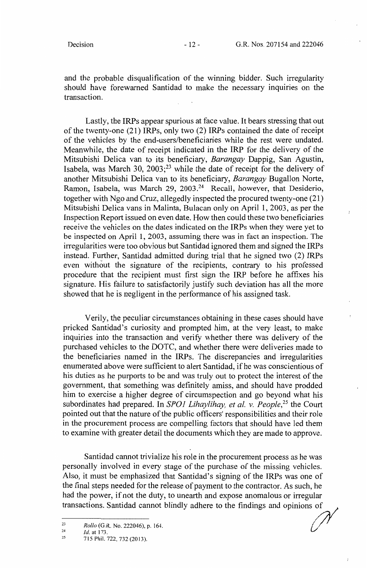and the probable disqualification of the winning bidder. Such irregularity should have forewarned Santidad to make the necessary inquiries on the transaction.

Lastly, the IRPs appear spurious at face value. It bears stressing that out of the twenty-one (21) IRPs, only two (2) IRPs contained the date of receipt of the vehicles by the end-users/beneficiaries while the rest were undated. Meanwhile, the date of receipt indicated in the IRP for the delivery of the Mitsubishi Delica van to its beneficiary, *Barangay* Dappig, San Agustin, Isabela, was March 30,  $2003$ ;<sup>23</sup> while the date of receipt for the delivery of another Mitsubishi Delica van to its beneficiary, *Barangay* Bugallon Norte, Ramon, Isabela, was March 29, 2003.<sup>24</sup> Recall, however, that Desiderio, together with Ngo and Cruz, allegedly inspected the procured twenty-one (21) Mitsubishi Delica vans in Malinta, Bulacan only on April 1, 2003, as per the Inspection Report issued on even date. How then could these two beneficiaries receive the vehicles on the dates indicated on the IRPs when they were yet to be inspected on April 1, 2003, assuming there was in fact an inspection. The irregularities were too obvious but Santidad ignored them and signed the IRPs instead. Further, Santidad admitted during trial that he signed two (2) IRPs even without the signature of the recipients, contrary to his professed procedure that the recipient must first sign the IRP before he affixes his signature. His failure to satisfactorily justify such deviation has all the more showed that he is negligent in the performance of his assigned task.

Verily, the peculiar circumstances obtaining in these cases should have pricked Santidad's curiosity and prompted him, at the very least, to make inquiries into the transaction and verify whether there was delivery of the purchased vehicles to the DOTC, and whether there were deliveries made to the beneficiaries named in the IRPs. The discrepancies and irregularities enumerated above were sufficient to alert Santidad, ifhe was conscientious of his duties as he purports to be and was truly out to protect the interest of the government, that something was definitely amiss, and should have prodded him to exercise a higher degree of circumspection and go beyond what his subordinates had prepared. In *SPO1 Lihaylihay, et al. v. People*<sup>25</sup> the Court pointed out that the nature of the public officers' responsibilities and their role in the procurement process are compelling factors that should have led them to examine with greater detail the documents which they are made to approve.

Santidad cannot trivialize his role in the procurement process as he was personally involved in every stage of the purchase of the missing vehicles. Also, it must be emphasized that Santidad's signing of the IRPs was one of the final steps needed for the release of payment to the contractor. As such, he had the power, if not the duty, to unearth and expose anomalous or irregular transactions. Santidad cannot blindly adhere to the findings and opinions d

<sup>&</sup>lt;sup>23</sup> *Rollo* (G.R. No. 222046), p. 164.

<sup>&</sup>lt;sup>24</sup> *Id.* at 173.<br><sup>25</sup> 715 Phil. 722, 732 (2013).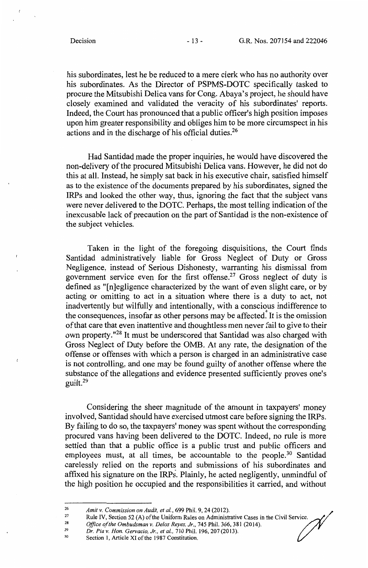his subordinates, lest he be reduced to a mere clerk who has no authority over his subordinates. As the Director of PSPMS-DOTC specifically tasked to procure the Mitsubishi Delica vans for Cong. Abaya's project, he should have closely examined and validated the veracity of his subordinates' reports. Indeed, the Court has pronounced that a public officer's high position imposes upon him greater responsibility and obliges him to be more circumspect in his actions and in the discharge of his official duties.<sup>26</sup>

Had Santidad made the proper inquiries, he would have discovered the non-delivery of the procured Mitsubishi Delica vans. However, he did not do this at all. Instead, he simply sat back in his executive chair, satisfied himself as to the existence of the documents prepared by his subordinates, signed the IRPs and looked the other way, thus, ignoring the fact that the subject vans were never delivered to the DOTC. Perhaps, the most telling indication of the inexcusable lack of precaution on the part of Santidad is the non-existence of the subject vehicles.

Taken in the light of the foregoing disquisitions, the Court finds Santidad administratively liable for Gross Neglect of Duty or Gross Negligence, instead of Serious Dishonesty, warranting his dismissal from government service even for the first offense.<sup>27</sup> Gross neglect of duty is defined as "[n]egligence characterized by the want of even slight care, or by acting or omitting to act in a situation where there is a duty to act, not inadvertently but wilfully and intentionally, with a conscious indifference to the consequences, insofar as other persons may be affected. It is the omission of that care that even inattentive and thoughtless men never fail to give to their own property."<sup>28</sup> It must be underscored that Santidad was also charged with Gross Neglect of Duty before the 0MB. At any rate, the designation of the offense or offenses with which a person is charged in an administrative case is not controlling, and one may be found guilty of another offense where the substance of the allegations and evidence presented sufficiently proves one's guilt.<sup>29</sup>

Considering the sheer magnitude of the amount in taxpayers' money involved, Santidad should have exercised utmost care before signing the IRPs. By failing to do so, the taxpayers' money was spent without the corresponding procured vans having been delivered to the DOTC. Indeed, no rule is more settled than that a public office is a public trust and public officers and employees must, at all times, be accountable to the people.<sup>30</sup> Santidad carelessly relied on the reports and submissions of his subordinates and affixed his signature on the IRPs. Plainly, he acted negligently, unmindful of the high position he occupied and the responsibilities it carried, and without

<sup>~</sup>

<sup>26</sup>  *Amit v. Commission on Audit, et al., 699 Phil. 9, 24 (2012).* 

<sup>27</sup>  28 Rule IV, Section 52 (A) of the Uniform Rules on Administrative Cases in the Civil Service.

*Office of the Ombudsman v. Delos Reyes, Jr.,* 745 Phil. 366,381 (2014).

<sup>29</sup>  30 *Dr. Pia v. Hon. Gervacio, Jr., et al.,* 710 Phil. 196,207 (2013).

Section 1, Article XI of the 1987 Constitution.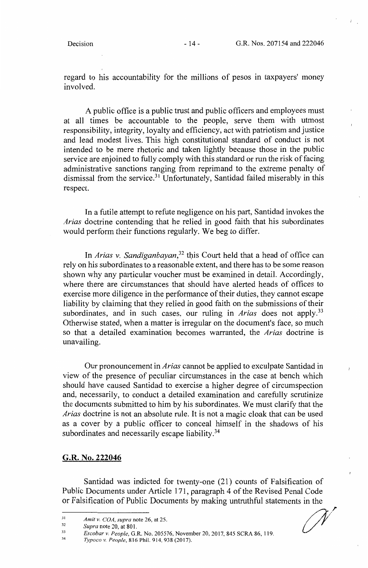regard to his accountability for the millions of pesos in taxpayers' money involved.

A public office is a public trust and public officers and employees must at all times be accountable to the people, serve them with utmost responsibility, integrity, loyalty and efficiency, act with patriotism and justice and lead modest lives. This high constitutional standard of conduct is not intended to be mere rhetoric and taken lightly because those in the public service are enjoined to fully comply with this standard or run the risk of facing administrative sanctions ranging from reprimand to the extreme penalty of dismissal from the service.<sup>31</sup> Unfortunately, Santidad failed miserably in this respect.

In a futile attempt to refute negligence on his part, Santidad invokes the *Arias* doctrine contending that he relied in good faith that his subordinates would perform their functions regularly. We beg to differ.

In *Arias v. Sandiganbayan*,<sup>32</sup> this Court held that a head of office can rely on his subordinates to a reasonable extent, and there has to be some reason shown why any particular voucher must be examined in detail. Accordingly, where there are circumstances that should have alerted heads of offices to exercise more diligence in the performance of their duties, they cannot escape liability by claiming that they relied in good faith on the submissions of their subordinates, and in such cases, our ruling in *Arias* does not apply.<sup>33</sup> Otherwise stated, when a matter is irregular on the document's face, so much so that a detailed examination becomes warranted, the *Arias* doctrine is unavailing.

Our pronouncement in *Arias* cannot be applied to exculpate Santidad in view of the presence of peculiar circumstances in the case at bench which should have caused Santidad to exercise a higher degree of circumspection and, necessarily, to conduct a detailed examination and carefully scrutinize the documents submitted to him by his subordinates. We must clarify that the *Arias* doctrine is not an absolute rule. It is not a magic cloak that can be used as a cover by a public officer to conceal himself in the shadows of his subordinates and necessarily escape liability.<sup>34</sup>

### **G.R. No. 222046**

Santidad was indicted for twenty-one (21) counts of Falsification of Public Documents under Article 171, paragraph 4 of the Revised Penal Code or Falsification of Public Documents by making untruthful statements in the

 $\mathscr N$ 

<sup>31</sup>  *Amit v. COA, supra* note 26, at 25.

<sup>32</sup>  *Supra* note 20, at 80 I.

<sup>33</sup>  *Escobar v. People,* G.R. No. 205576, November 20, 2017, 845 SCRA 86, 119.

<sup>34</sup>  *Typocov. People,* 816 Phil. 914,938 (2017).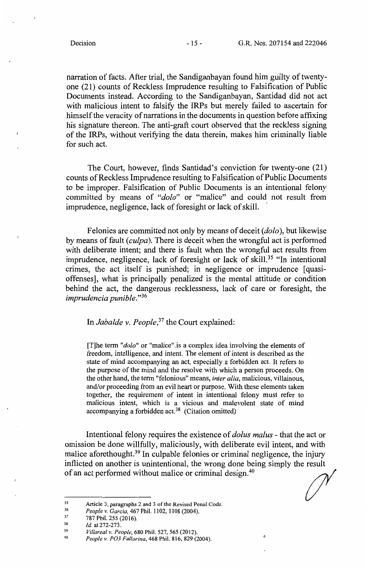narration of facts. After trial, the Sandiganbayan found him guilty of twentyone (21) counts of Reckless Imprudence resulting to Falsification of Public Documents instead. According to the Sandiganbayan, Santidad did not act with malicious intent to falsify the IRPs but merely failed to ascertain for himself the veracity of narrations in the documents in question before affixing his signature thereon. The anti-graft court observed that the reckless signing of the IRPs, without verifying the data therein, makes him criminally liable for such act.

The Court, however, finds Santidad's conviction for twenty-one (21) counts of Reckless Imprudence resulting to Falsification of Public Documents to be improper. Falsification of Public Documents is an intentional felony committed by means of *"dolo"* or "malice" and could not result from imprudence, negligence, lack of foresight or lack of skill.

Felonies are committed not only by means of deceit *(dolo* ), but likewise by means of fault *(culpa).* There is deceit when the wrongful act is performed with deliberate intent; and there is fault when the wrongful act results from imprudence, negligence, lack of foresight or lack of skill.<sup>35</sup> "In intentional crimes, the act itself is punished; in negligence or imprudence [ quasioffenses], what is principally penalized is the mental attitude or condition behind the act, the dangerous recklessness, lack of care or foresight, the *imprudencia punible."36* 

In *Jabalde v. People,<sup>37</sup>*the Court explained:

[T]he term *"dolo"* or "malice".is a complex idea involving the elements of freedom, intelligence, and intent. The element of intent is described as the state of mind accompanying an act, especially a forbidden act. It refers to the purpose of the mind and the resolve with which a person proceeds. On the other hand, the term "felonious" means, *inter alia,* malicious, villainous, and/or proceeding from an evil heart or purpose. With these elements taken together, the requirement of intent in intentional felony must refer to malicious intent, which is a vicious and malevolent state of mind accompanying a forbidden act.<sup>38</sup> (Citation omitted)

Intentional felony requires the existence of *do/us ma/us* - that the act or omission be done willfully, maliciously, with deliberate evil intent, and with malice aforethought.<sup>39</sup> In culpable felonies or criminal negligence, the injury inflicted on another is unintentional, the wrong done being simply the result of an act performed without malice or criminal negligence, the injury<br>of an act performed without malice or criminal design.<sup>40</sup>

<sup>35</sup>  Article 3, paragraphs 2 and 3 of the Revised Penal Code.

<sup>36</sup>  *People v. Garcia,* 467 Phil. 1102, 1108 (2004).

<sup>37</sup>  787 Phil. 255 (2016).

<sup>38</sup>  *Id.* at 272-273.

<sup>39</sup>  *Villareal v. People,* 680 Phil. 527, 565 (2012).

<sup>40</sup>  People v. PO3 Fallorina, 468 Phil. 816, 829 (2004).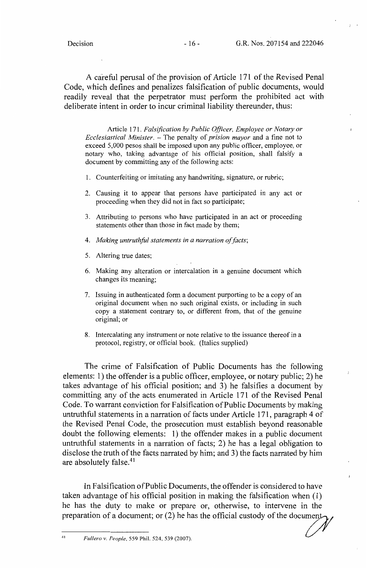A careful perusal of the provision of Article 171 of the Revised Penal Code, which defines and penalizes falsification of public documents, would readily reveal that the perpetrator must perform the prohibited act with deliberate intent in order to incur criminal liability thereunder, thus:

Article 171. *Falsification by Public Officer, Employee or Notary or Ecclesiastical Minister.* - The penalty of *prision mayor* and a fine not to exceed 5,000 pesos shall be imposed upon any public officer, employee, or notary who, taking advantage of his official position, shall falsify a document by committing any of the following acts:

- 1. Counterfeiting or imitating any handwriting, signature, or rubric;
- 2. Causing it to appear that persons have participated in any act or proceeding when they did not in fact so participate;
- 3. Attributing to persons who have participated in an act or proceeding statements other than those in fact made by them;
- 4. *Making untruthful statements in a narration of facts;*
- 5. Altering true dates;
- 6. Making any alteration or intercalation in a genuine document which changes its meaning;
- 7. Issuing in authenticated form a document purporting to be a copy of an original document when no such original exists, or including in such copy a statement contrary to, or different from, that of the genuine original; or
- 8. Intercalating any instrument or note relative to the issuance thereof in a protocol, registry, or official book. (Italics supplied)

The crime of Falsification of Public Documents has the following elements: 1) the offender is a public officer, employee, or notary public; 2) he takes advantage of his official position; and 3) he falsifies a document by committing any of the acts enumerated in Article 171 of the Revised Penal Code. To warrant conviction for Falsification of Public Documents by making untruthful statements in a narration of facts under Article 1 71, paragraph 4 of the Revised Penal Code, the prosecution must establish beyond reasonable doubt the following elements: 1) the offender makes in a public document untruthful statements in a narration of facts; 2) he has a legal obligation to disclose the truth of the facts narrated by him; and 3) the facts narrated by him are absolutely false.<sup>41</sup>

In Falsification of Public Documents, the offender is considered to have taken advantage of his official position in making the falsification when ( 1) he has the duty to make or prepare or, otherwise, to intervene in the preparation of a document; or  $(2)$  he has the official custody of the document

<sup>41</sup>*Fullero v. People,* 559 Phil. 524, 539 (2007).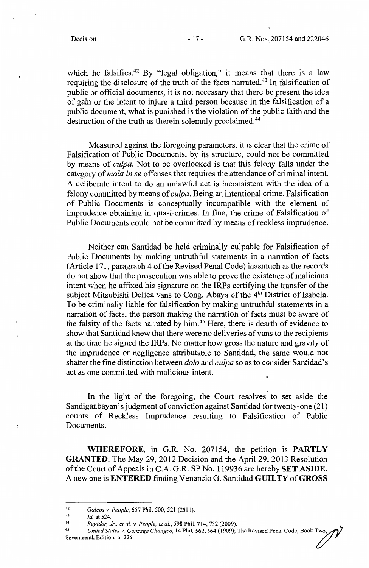,l

which he falsifies.<sup>42</sup> By "legal obligation," it means that there is a law requiring the disclosure of the truth of the facts narrated.<sup>43</sup> In falsification of public or official documents, it is not necessary that there be present the idea of gain or the intent to injure a third person because in the falsification of a public document, what is punished is the violation of the public faith and the destruction of the truth as therein solemnly proclaimed.<sup>44</sup>

Measured against the foregoing parameters, it is clear that the crime of Falsification of Public Documents, by its structure, could not be committed by means of *culpa.* Not to be overlooked is that this felony falls under the category of *ma/a in se* offenses that requires the attendance of criminal intent. A deliberate intent to do an unlawful act is inconsistent with the idea of a felony committed by means of *culpa.* Being an intentional crime, Falsification of Public Documents is conceptually incompatible with the element of imprudence obtaining in quasi-crimes. In fine, the crime of Falsification of Public Documents could not be committed by means of reckless imprudence.

Neither can Santidad be held criminally culpable for Falsification of Public Documents by making untruthful statements in a narration of facts (Article 171, paragraph 4 of the Revised Penal Code) inasmuch as the records do not show that the prosecution was able to prove the existence of malicious intent when he affixed his signature on the IRPs certifying the transfer of the subject Mitsubishi Delica vans to Cong. Abaya of the 4<sup>th</sup> District of Isabela. To be criminally liable for falsification by making untruthful statements in a narration of facts, the person making the narration of facts must be aware of the falsity of the facts narrated by him. 45 Here, there is dearth of evidence to show that Santidad knew that there were no deliveries of vans to the recipients at the time he signed the IRPs. No matter how gross the nature and gravity of the imprudence or negligence attributable to Santidad, the same would not shatter the fine distinction between *dolo* and *culpa* so as to consider Santidad's act as one committed with malicious intent.

In the light of the foregoing, the Court resolves to set aside the Sandiganbayan's judgment of conviction against Santidad for twenty-one (21) counts of Reckless Imprudence resulting to Falsification of Public Documents.

**WHEREFORE,** in G.R. No. 207154, the petition is **PARTLY GRANTED.** The May 29, 2012 Decision and the April 29, 2013 Resolution of the Court of Appeals in C.A. G.R. SP No. 119936 are hereby **SET ASIDE.**  A new one is **ENTERED** finding Venancio G. Santi dad **GUILTY of GROSS** 

<sup>44</sup>*Regidor, Jr., et al. v. People, et al.,* 598 Phil. 714, 732 (2009). • 45 *United States v. Gonzaga Changco,* 14 Phil. 562, 564 ( 1909); The Revised Penal Code, Book **Twoyf"Y.**  Seventeenth Edition, p. 225.

<sup>42</sup>*Galeas v. People,* 657 Phil. 500, 521 (2011). 43 *Id* at 524.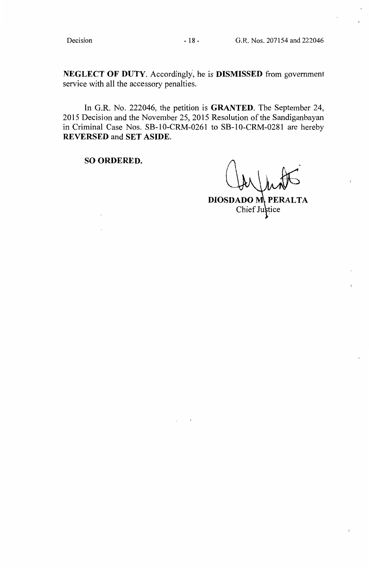**NEGLECT OF DUTY.** Accordingly·, he is **DISMISSED** from government service with all the accessory penalties.

In G.R. No. 222046, the petition is **GRANTED.** The September 24, 2015 Decision and the November 25, 2015 Resolution of the Sandiganbayan in Criminal Case Nos. SB-10-CRM-0261 to SB-10-CRM-0281 are hereby **REVERSED** and **SET ASIDE.** 

**SO ORDERED.** 

**DIOSDADO M\ PERAL** Chief Justice